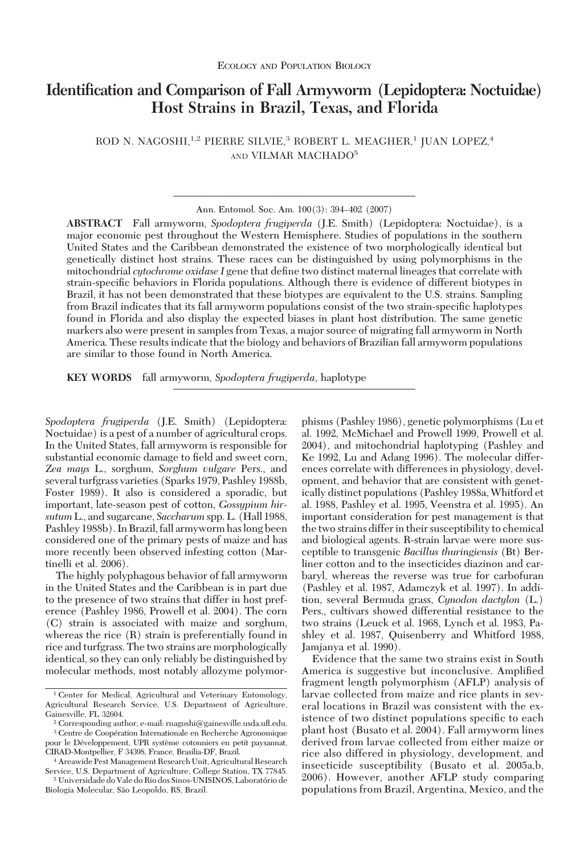# **Identification and Comparison of Fall Armyworm (Lepidoptera: Noctuidae) Host Strains in Brazil, Texas, and Florida**

ROD N. NAGOSHI,<sup>1,2</sup> PIERRE SILVIE,<sup>3</sup> ROBERT L. MEAGHER,<sup>1</sup> JUAN LOPEZ,<sup>4</sup> AND VILMAR MACHADO5

**ABSTRACT** Fall armyworm, *Spodoptera frugiperda* (J.E. Smith) (Lepidoptera: Noctuidae), is a major economic pest throughout the Western Hemisphere. Studies of populations in the southern United States and the Caribbean demonstrated the existence of two morphologically identical but genetically distinct host strains. These races can be distinguished by using polymorphisms in the mitochondrial *cytochrome oxidase I* gene that define two distinct maternal lineages that correlate with strain-specific behaviors in Florida populations. Although there is evidence of different biotypes in Brazil, it has not been demonstrated that these biotypes are equivalent to the U.S. strains. Sampling from Brazil indicates that its fall armyworm populations consist of the two strain-specific haplotypes found in Florida and also display the expected biases in plant host distribution. The same genetic markers also were present in samples from Texas, a major source of migrating fall armyworm in North America. These results indicate that the biology and behaviors of Brazilian fall armyworm populations are similar to those found in North America.

**KEY WORDS** fall armyworm, *Spodoptera frugiperda*, haplotype

*Spodoptera frugiperda* (J.E. Smith) (Lepidoptera: Noctuidae) is a pest of a number of agricultural crops. In the United States, fall armyworm is responsible for substantial economic damage to field and sweet corn, *Zea mays* L., sorghum, *Sorghum vulgare* Pers., and several turfgrass varieties (Sparks 1979, Pashley 1988b, Foster 1989). It also is considered a sporadic, but important, late-season pest of cotton, *Gossypium hirsutum* L., and sugarcane, *Saccharum* spp. L. (Hall 1988, Pashley 1988b). In Brazil, fall armyworm haslong been considered one of the primary pests of maize and has more recently been observed infesting cotton (Martinelli et al. 2006).

The highly polyphagous behavior of fall armyworm in the United States and the Caribbean is in part due to the presence of two strains that differ in host preference (Pashley 1986, Prowell et al. 2004). The corn (C) strain is associated with maize and sorghum, whereas the rice (R) strain is preferentially found in rice and turfgrass. The two strains are morphologically identical, so they can only reliably be distinguished by molecular methods, most notably allozyme polymorphisms (Pashley 1986), genetic polymorphisms (Lu et al. 1992, McMichael and Prowell 1999, Prowell et al. 2004), and mitochondrial haplotyping (Pashley and Ke 1992, Lu and Adang 1996). The molecular differences correlate with differences in physiology, development, and behavior that are consistent with genetically distinct populations (Pashley 1988a, Whitford et al. 1988, Pashley et al. 1995, Veenstra et al. 1995). An important consideration for pest management is that the two strains differ in their susceptibility to chemical and biological agents. R-strain larvae were more susceptible to transgenic *Bacillus thuringiensis* (Bt) Berliner cotton and to the insecticides diazinon and carbaryl, whereas the reverse was true for carbofuran (Pashley et al. 1987, Adamczyk et al. 1997). In addition, several Bermuda grass, *Cynodon dactylon* (L.) Pers., cultivars showed differential resistance to the two strains (Leuck et al. 1968, Lynch et al. 1983, Pashley et al. 1987, Quisenberry and Whitford 1988, Jamjanya et al. 1990).

Evidence that the same two strains exist in South America is suggestive but inconclusive. Amplified fragment length polymorphism (AFLP) analysis of larvae collected from maize and rice plants in several locations in Brazil was consistent with the existence of two distinct populations specific to each plant host (Busato et al. 2004). Fall armyworm lines derived from larvae collected from either maize or rice also differed in physiology, development, and insecticide susceptibility (Busato et al. 2005a,b, 2006). However, another AFLP study comparing populations from Brazil, Argentina, Mexico, and the

Ann. Entomol. Soc. Am. 100(3): 394-402 (2007)

<sup>&</sup>lt;sup>1</sup> Center for Medical, Agricultural and Veterinary Entomology, Agricultural Research Service, U.S. Department of Agriculture, Gainesville, FL 32604.

 $2^2$  Corresponding author, e-mail: rnagoshi@gainesville.usda.ufl.edu. <sup>3</sup> Centre de Coopération Internationale en Recherche Agronomique pour le Développement, UPR système cotonniers en petit paysannat, CIRAD-Montpellier, F 34398, France, Brasilia-DF, Brazil.

<sup>4</sup> Areawide Pest Management Research Unit, Agricultural Research Service, U.S. Department of Agriculture, College Station, TX 77845. <sup>5</sup> Universidade do Vale do Rio dos Sinos-UNISINOS, Laboratório de Biologia Molecular, São Leopoldo, RS, Brazil.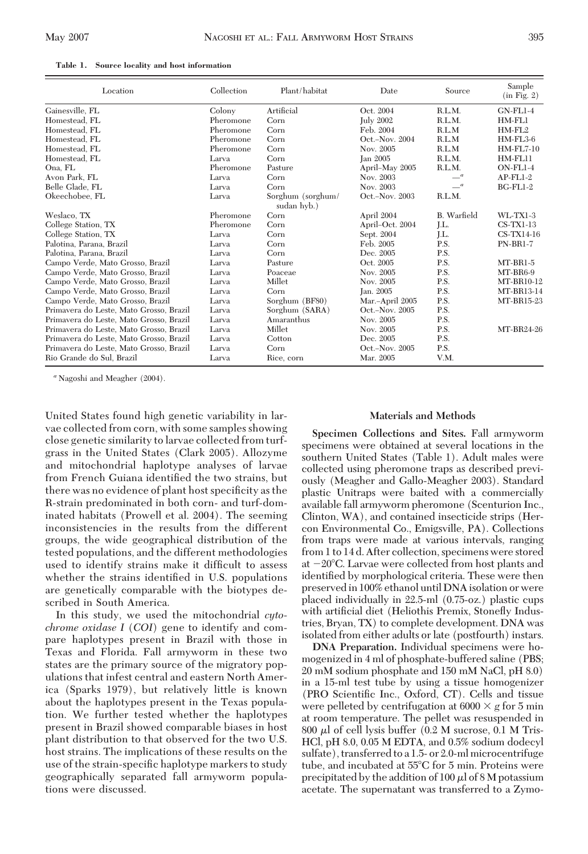| Location                                | Collection | Plant/habitat                    | Date             | Source             | Sample<br>(in Fig. 2) |
|-----------------------------------------|------------|----------------------------------|------------------|--------------------|-----------------------|
| Gainesville, FL                         | Colony     | Artificial                       | Oct. 2004        | R.L.M.             | $GN$ -FL1-4           |
| Homestead, FL                           | Pheromone  | Corn                             | <b>July 2002</b> | R.L.M.             | $HM-FL1$              |
| Homestead, FL                           | Pheromone  | Corn                             | Feb. 2004        | R.L.M              | $HM-FL2$              |
| Homestead. FL                           | Pheromone  | Corn                             | Oct.-Nov. 2004   | R.L.M              | $HM-FL3-6$            |
| Homestead, FL                           | Pheromone  | Corn                             | Nov. 2005        | R.L.M              | <b>HM-FL7-10</b>      |
| Homestead, FL                           | Larva      | Corn                             | <b>Ian 2005</b>  | R.L.M.             | $HM-FL11$             |
| Ona, FL                                 | Pheromone  | Pasture                          | April-May 2005   | R.L.M.             | $ON-FL1-4$            |
| Avon Park, FL                           | Larva      | Corn                             | Nov. 2003        | $-$ <sup>a</sup>   | $AP$ - $FL1-2$        |
| Belle Glade, FL                         | Larva      | Corn                             | Nov. 2003        | $-$ <sup>a</sup>   | $BG$ - $FL1-2$        |
| Okeechobee, FL                          | Larva      | Sorghum (sorghum/<br>sudan hyb.) | Oct.-Nov. 2003   | R.L.M.             |                       |
| Weslaco, TX                             | Pheromone  | Corn                             | April 2004       | <b>B.</b> Warfield | $WL-TX1-3$            |
| College Station, TX                     | Pheromone  | Corn                             | April-Oct. 2004  | LL.                | $CS-TX1-13$           |
| College Station, TX                     | Larva      | Corn                             | Sept. 2004       | J.L.               | $CS-TX14-16$          |
| Palotina, Parana, Brazil                | Larva      | Corn                             | Feb. 2005        | P.S.               | <b>PN-BR1-7</b>       |
| Palotina, Parana, Brazil                | Larva      | Corn                             | Dec. 2005        | P.S.               |                       |
| Campo Verde, Mato Grosso, Brazil        | Larva      | Pasture                          | Oct. 2005        | P.S.               | $MT-BR1-5$            |
| Campo Verde, Mato Grosso, Brazil        | Larva      | Poaceae                          | Nov. 2005        | P.S.               | MT-BR6-9              |
| Campo Verde, Mato Grosso, Brazil        | Larva      | Millet                           | Nov. 2005        | P.S.               | MT-BR10-12            |
| Campo Verde, Mato Grosso, Brazil        | Larva      | Corn                             | Jan. 2005        | P.S.               | MT-BR13-14            |
| Campo Verde, Mato Grosso, Brazil        | Larva      | Sorghum (BF80)                   | Mar.-April 2005  | P.S.               | MT-BR15-23            |
| Primavera do Leste, Mato Grosso, Brazil | Larva      | Sorghum (SARA)                   | Oct.-Nov. 2005   | P.S.               |                       |
| Primavera do Leste, Mato Grosso, Brazil | Larva      | Amaranthus                       | Nov. 2005        | P.S.               |                       |
| Primavera do Leste, Mato Grosso, Brazil | Larva      | Millet                           | Nov. 2005        | P.S.               | MT-BR24-26            |
| Primavera do Leste, Mato Grosso, Brazil | Larva      | Cotton                           | Dec. 2005        | P.S.               |                       |
| Primavera do Leste, Mato Grosso, Brazil | Larva      | Corn                             | Oct.-Nov. 2005   | P.S.               |                       |
| Rio Grande do Sul. Brazil               | Larva      | Rice, corn                       | Mar. 2005        | V.M.               |                       |

**Table 1. Source locality and host information**

*<sup>a</sup>* Nagoshi and Meagher (2004).

United States found high genetic variability in larvae collected from corn, with some samples showing close genetic similarity to larvae collected from turfgrass in the United States (Clark 2005). Allozyme and mitochondrial haplotype analyses of larvae from French Guiana identified the two strains, but there was no evidence of plant host specificity as the R-strain predominated in both corn- and turf-dominated habitats (Prowell et al. 2004). The seeming inconsistencies in the results from the different groups, the wide geographical distribution of the tested populations, and the different methodologies used to identify strains make it difficult to assess whether the strains identified in U.S. populations are genetically comparable with the biotypes described in South America.

In this study, we used the mitochondrial *cytochrome oxidase I* (*COI*) gene to identify and compare haplotypes present in Brazil with those in Texas and Florida. Fall armyworm in these two states are the primary source of the migratory populations that infest central and eastern North America (Sparks 1979), but relatively little is known about the haplotypes present in the Texas population. We further tested whether the haplotypes present in Brazil showed comparable biases in host plant distribution to that observed for the two U.S. host strains. The implications of these results on the use of the strain-specific haplotype markers to study geographically separated fall armyworm populations were discussed.

# **Materials and Methods**

**Specimen Collections and Sites.** Fall armyworm specimens were obtained at several locations in the southern United States (Table 1). Adult males were collected using pheromone traps as described previously (Meagher and Gallo-Meagher 2003). Standard plastic Unitraps were baited with a commercially available fall armyworm pheromone (Scenturion Inc., Clinton, WA), and contained insecticide strips (Hercon Environmental Co., Emigsville, PA). Collections from traps were made at various intervals, ranging from 1 to 14 d. After collection, specimens were stored at –20°C. Larvae were collected from host plants and identified by morphological criteria. These were then preserved in 100% ethanol until DNA isolation or were placed individually in 22.5-ml (0.75-oz.) plastic cups with artificial diet (Heliothis Premix, Stonefly Industries, Bryan, TX) to complete development. DNA was isolated from either adults or late (postfourth) instars.

**DNA Preparation.** Individual specimens were homogenized in 4 ml of phosphate-buffered saline (PBS; 20 mM sodium phosphate and 150 mM NaCl, pH 8.0) in a 15-ml test tube by using a tissue homogenizer (PRO Scientific Inc., Oxford, CT). Cells and tissue were pelleted by centrifugation at  $6000 \times g$  for 5 min at room temperature. The pellet was resuspended in 800  $\mu$ l of cell lysis buffer (0.2 M sucrose, 0.1 M Tris-HCl, pH 8.0, 0.05 M EDTA, and 0.5% sodium dodecyl sulfate), transferred to a 1.5- or 2.0-ml microcentrifuge tube, and incubated at 55°C for 5 min. Proteins were precipitated by the addition of 100  $\mu$ l of 8 M potassium acetate. The supernatant was transferred to a Zymo-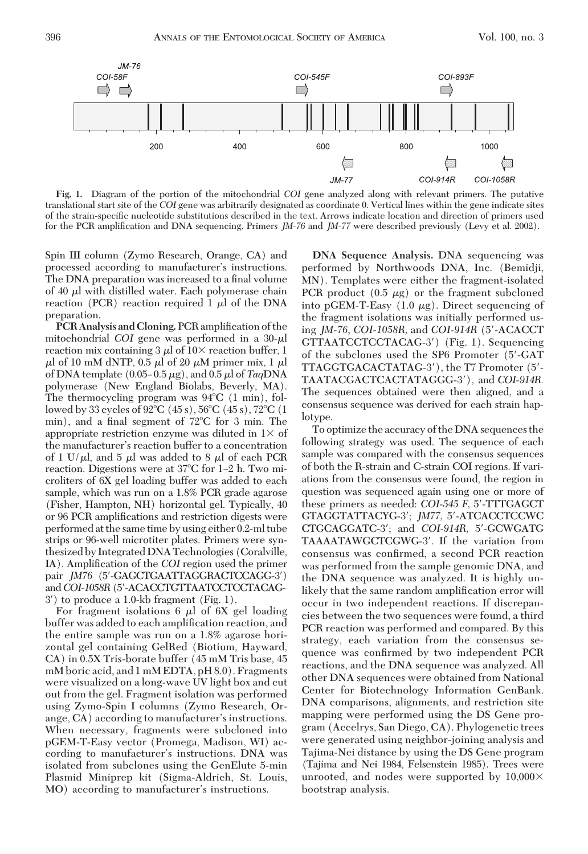

**Fig. 1.** Diagram of the portion of the mitochondrial *COI* gene analyzed along with relevant primers. The putative translational start site of the *COI* gene was arbitrarily designated as coordinate 0. Vertical lines within the gene indicate sites of the strain-specific nucleotide substitutions described in the text. Arrows indicate location and direction of primers used for the PCR amplification and DNA sequencing. Primers *JM-76* and *JM-77* were described previously (Levy et al. 2002).

Spin III column (Zymo Research, Orange, CA) and processed according to manufacturer's instructions. The DNA preparation was increased to a final volume of 40  $\mu$ l with distilled water. Each polymerase chain reaction (PCR) reaction required  $1 \mu l$  of the DNA preparation.

**PCR Analysis and Cloning.** PCR amplification of the mitochondrial *COI* gene was performed in a  $30-\mu$ reaction mix containing  $3 \mu$  of  $10 \times$  reaction buffer, 1  $\mu$ l of 10 mM dNTP, 0.5  $\mu$ l of 20  $\mu$ M primer mix, 1  $\mu$ l of DNA template  $(0.05-0.5 \,\mu g)$ , and  $0.5 \,\mu l$  of  $TaqDNA$ polymerase (New England Biolabs, Beverly, MA). The thermocycling program was  $94^{\circ}C$  (1 min), followed by 33 cycles of 92°C (45 s), 56°C (45 s), 72°C (1 min), and a final segment of 72°C for 3 min. The appropriate restriction enzyme was diluted in  $1\times$  of the manufacturer's reaction buffer to a concentration of 1 U/ $\mu$ l, and 5  $\mu$ l was added to 8  $\mu$ l of each PCR reaction. Digestions were at 37°C for 1–2 h. Two microliters of 6X gel loading buffer was added to each sample, which was run on a 1.8% PCR grade agarose (Fisher, Hampton, NH) horizontal gel. Typically, 40 or 96 PCR amplifications and restriction digests were performed at the same time by using either 0.2-ml tube strips or 96-well microtiter plates. Primers were synthesized by Integrated DNA Technologies (Coralville, IA). Amplification of the *COI* region used the primer pair *JM76* (5'-GAGCTGAATTAGGRACTCCAGG-3') and*COI-1058R*(5-ACACCTGTTAATCCTCCTACAG-3) to produce a 1.0-kb fragment (Fig. 1).

For fragment isolations 6  $\mu$ l of 6X gel loading buffer was added to each amplification reaction, and the entire sample was run on a 1.8% agarose horizontal gel containing GelRed (Biotium, Hayward, CA) in 0.5X Tris-borate buffer (45 mM Tris base, 45 mM boric acid, and 1 mM EDTA, pH 8.0). Fragments were visualized on a long-wave UV light box and cut out from the gel. Fragment isolation was performed using Zymo-Spin I columns (Zymo Research, Orange,  $CA$ ) according to manufacturer's instructions. When necessary, fragments were subcloned into pGEM-T-Easy vector (Promega, Madison, WI) according to manufacturer's instructions. DNA was isolated from subclones using the GenElute 5-min Plasmid Miniprep kit (Sigma-Aldrich, St. Louis, MO) according to manufacturer's instructions.

**DNA Sequence Analysis.** DNA sequencing was performed by Northwoods DNA, Inc. (Bemidji, MN). Templates were either the fragment-isolated PCR product  $(0.5 \mu g)$  or the fragment subcloned into pGEM-T-Easy  $(1.0 \mu g)$ . Direct sequencing of the fragment isolations was initially performed using *JM-76, COI-1058R,* and *COI-914R* (5-ACACCT GTTAATCCTCCTACAG-3) (Fig. 1). Sequencing of the subclones used the SP6 Promoter (5-GAT TTAGGTGACACTATAG-3), the T7 Promoter (5- TAATACGACTCACTATAGGG-3), and *COI-914R.* The sequences obtained were then aligned, and a consensus sequence was derived for each strain haplotype.

To optimize the accuracy of the DNA sequences the following strategy was used. The sequence of each sample was compared with the consensus sequences of both the R-strain and C-strain COI regions. If variations from the consensus were found, the region in question was sequenced again using one or more of these primers as needed: *COI-545 F,* 5-TTTGAGCT GTAGGTATTACYG-3; *JM77,* 5-ATCACCTCCWC CTGCAGGATC-3; and *COI-914R,* 5-GCWGATG TAAAATAWGCTCGWG-3'. If the variation from consensus was confirmed, a second PCR reaction was performed from the sample genomic DNA, and the DNA sequence was analyzed. It is highly unlikely that the same random amplification error will occur in two independent reactions. If discrepancies between the two sequences were found, a third PCR reaction was performed and compared. By this strategy, each variation from the consensus sequence was confirmed by two independent PCR reactions, and the DNA sequence was analyzed. All other DNA sequences were obtained from National Center for Biotechnology Information GenBank. DNA comparisons, alignments, and restriction site mapping were performed using the DS Gene program (Accelrys, San Diego, CA). Phylogenetic trees were generated using neighbor-joining analysis and Tajima-Nei distance by using the DS Gene program (Tajima and Nei 1984, Felsenstein 1985). Trees were unrooted, and nodes were supported by  $10,000 \times$ bootstrap analysis.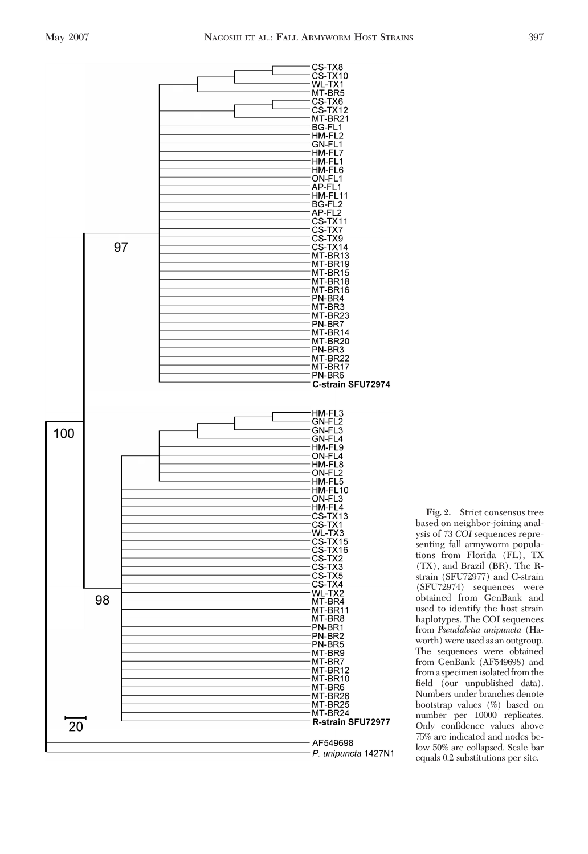

**Fig. 2.** Strict consensus tree based on neighbor-joining analysis of 73 *COI* sequences representing fall armyworm populations from Florida (FL), TX (TX), and Brazil (BR). The Rstrain (SFU72977) and C-strain (SFU72974) sequences were obtained from GenBank and used to identify the host strain haplotypes. The COI sequences from *Pseudaletia unipuncta* (Haworth) were used as an outgroup. The sequences were obtained from GenBank (AF549698) and from a specimen isolated from the field (our unpublished data). Numbers under branches denote bootstrap values (%) based on number per 10000 replicates. Only confidence values above 75% are indicated and nodes below 50% are collapsed. Scale bar equals 0.2 substitutions per site.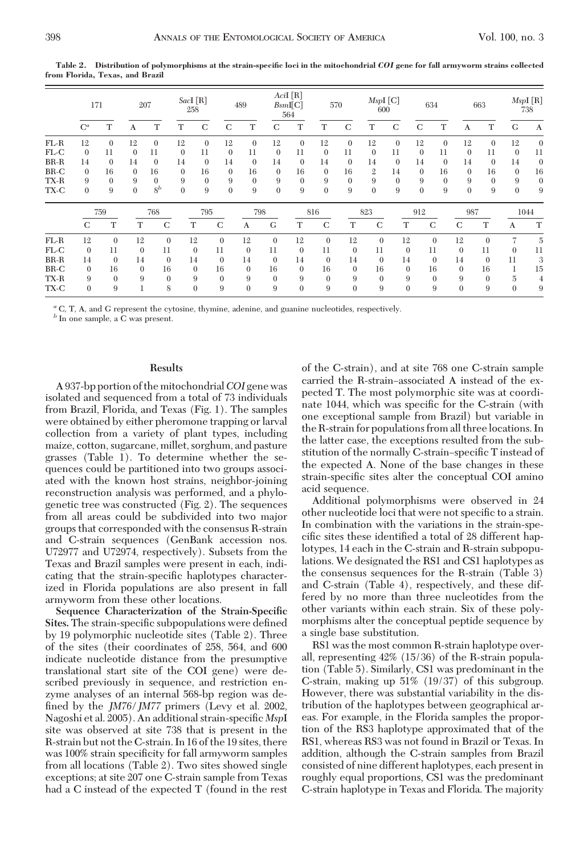|        | 171            |              | 207      |              | SacI [R]<br>258 |                | 489          |              | AciI[R]<br>BsmI[C]<br>564 |              | 570          |              | $MspI$ [C]<br>600 |                | 634          |              | 663          |              | MspI [R]<br>738 |                  |
|--------|----------------|--------------|----------|--------------|-----------------|----------------|--------------|--------------|---------------------------|--------------|--------------|--------------|-------------------|----------------|--------------|--------------|--------------|--------------|-----------------|------------------|
|        | $C^a$          | T            | A        | Т            | Т               | $\mathbf C$    | $\mathbf C$  | T            | C                         | Т            | T            | $\mathbf C$  | Т                 | $\mathbf C$    | $\mathbf C$  | T            | A            | T            | G               | A                |
| $FL-R$ | 12             | $\theta$     | 12       | $\mathbf{0}$ | 12              | $\mathbf{0}$   | 12           | $\Omega$     | 12                        | $\mathbf{0}$ | 12           | $\Omega$     | 12                | $\Omega$       | 12           | $\Omega$     | 12           | $\Omega$     | 12              | $\mathbf{0}$     |
| $FL-C$ | $\theta$       | 11           | $\Omega$ | 11           | $\overline{0}$  | 11             | $\mathbf{0}$ | 11           | $\mathbf{0}$              | 11           | $\mathbf{0}$ | 11           | $\mathbf{0}$      | 11             | $\mathbf{0}$ | 11           | $\theta$     | 11           | $\overline{0}$  | 11               |
| $BR-R$ | 14             | $\Omega$     | 14       | $\theta$     | 14              | $\theta$       | 14           | $\Omega$     | 14                        | $\theta$     | 14           | $\Omega$     | 14                | $\theta$       | 14           | $\Omega$     | 14           | $\Omega$     | 14              | $\boldsymbol{0}$ |
| $BR-C$ | $\mathbf{0}$   | 16           | $\Omega$ | 16           | $\mathbf{0}$    | 16             | $\Omega$     | 16           | $\mathbf{0}$              | 16           | $\mathbf{0}$ | 16           | $\overline{2}$    | 14             | $\mathbf{0}$ | 16           | $\Omega$     | 16           | $\theta$        | 16               |
| TX-R   | 9              | $\mathbf{0}$ | 9        | $\theta$     | 9               | $\theta$       | 9            | $\theta$     | 9                         | $\mathbf{0}$ | 9            | $\mathbf{0}$ | 9                 | $\theta$       | 9            | $\theta$     | 9            | $\Omega$     | 9               | $\mathbf{0}$     |
| TX-C   | $\mathbf{0}$   | 9            | $\theta$ | $8^b$        | $\mathbf{0}$    | 9              | $\Omega$     | 9            | $\theta$                  | 9            | $\theta$     | 9            | $\mathbf{0}$      | 9              | $\mathbf{0}$ | 9            | $\mathbf{0}$ | 9            | $\overline{0}$  | 9                |
|        | 759            |              |          | 768          |                 | 795            |              |              | 798                       |              | 816          | 823          |                   |                | 912          |              | 987          |              |                 | 1044             |
|        | C              | T            | T        | $\mathbf C$  |                 | T              | $\mathbf C$  | A            | G                         | T            | $\mathbf C$  | $\mathbf T$  | $\mathbf C$       | T              |              | $\mathbf C$  | C            | T            | A               | $\mathbf T$      |
| $FL-R$ | 12             | $\theta$     | 12       | $\theta$     |                 | 12             | $\mathbf{0}$ | 12           | $\mathbf{0}$              | 12           | $\theta$     | 12           | $\theta$          | 12             |              | $\mathbf{0}$ | 12           | $\mathbf{0}$ | 7               | 5                |
| $FL-C$ | $\mathbf{0}$   | 11           | $\theta$ | 11           |                 | $\overline{0}$ | 11           | $\theta$     | 11                        | $\theta$     | 11           | $\theta$     | 11                | $\overline{0}$ |              | 11           | $\mathbf{0}$ | 11           | $\theta$        | 11               |
| $BR-R$ | 14             | $\theta$     | 14       | $\theta$     |                 | 14             | $\mathbf{0}$ | 14           | $\theta$                  | 14           | $\theta$     | 14           | $\theta$          | 14             |              | $\mathbf{0}$ | 14           | $\mathbf{0}$ | 11              | 3                |
| $BR-C$ | $\overline{0}$ | 16           | $\theta$ | 16           |                 | $\theta$       | 16           | $\theta$     | 16                        | $\theta$     | 16           | $\mathbf{0}$ | 16                | $\theta$       |              | 16           | $\mathbf{0}$ | 16           | 1               | 15               |
| TX-R   | 9              | $\theta$     | 9        | $\theta$     |                 | 9              | $\mathbf{0}$ | 9            | $\mathbf{0}$              | 9            | $\mathbf{0}$ | 9            | $\theta$          | 9              |              | $\mathbf{0}$ | 9            | $\mathbf{0}$ | $\overline{5}$  | 4                |
| TX-C   | $\mathbf{0}$   | 9            | 1        | 8            |                 | $\mathbf{0}$   | 9            | $\mathbf{0}$ | 9                         | $\mathbf{0}$ | 9            | $\mathbf{0}$ | 9                 | $\theta$       |              | 9            | $\mathbf{0}$ | 9            | $\mathbf{0}$    | 9                |

**Table 2. Distribution of polymorphisms at the strain-specific loci in the mitochondrial** *COI* **gene for fall armyworm strains collected from Florida, Texas, and Brazil**

*<sup>a</sup>* C, T, A, and G represent the cytosine, thymine, adenine, and guanine nucleotides, respectively.

*<sup>b</sup>* In one sample, a C was present.

#### **Results**

A 937-bp portion of the mitochondrial*COI* gene was isolated and sequenced from a total of 73 individuals from Brazil, Florida, and Texas (Fig. 1). The samples were obtained by either pheromone trapping or larval collection from a variety of plant types, including maize, cotton, sugarcane, millet, sorghum, and pasture grasses (Table 1). To determine whether the sequences could be partitioned into two groups associated with the known host strains, neighbor-joining reconstruction analysis was performed, and a phylogenetic tree was constructed (Fig. 2). The sequences from all areas could be subdivided into two major groups that corresponded with the consensus R-strain and C-strain sequences (GenBank accession nos. U72977 and U72974, respectively). Subsets from the Texas and Brazil samples were present in each, indicating that the strain-specific haplotypes characterized in Florida populations are also present in fall armyworm from these other locations.

**Sequence Characterization of the Strain-Specific Sites.** The strain-specific subpopulations were defined by 19 polymorphic nucleotide sites (Table 2). Three of the sites (their coordinates of 258, 564, and 600 indicate nucleotide distance from the presumptive translational start site of the COI gene) were described previously in sequence, and restriction enzyme analyses of an internal 568-bp region was defined by the *JM76/JM77* primers (Levy et al. 2002, Nagoshi et al. 2005). An additional strain-specific *MspI* site was observed at site 738 that is present in the R-strain but not the C-strain. In 16 of the 19 sites, there was 100% strain specificity for fall armyworm samples from all locations (Table 2). Two sites showed single exceptions; at site 207 one C-strain sample from Texas had a C instead of the expected T (found in the rest of the C-strain), and at site 768 one C-strain sample carried the R-strain–associated A instead of the expected T. The most polymorphic site was at coordinate 1044, which was specific for the C-strain (with one exceptional sample from Brazil) but variable in the R-strain for populations from all three locations. In the latter case, the exceptions resulted from the substitution of the normally C-strain–specific T instead of the expected A. None of the base changes in these strain-specific sites alter the conceptual COI amino acid sequence.

Additional polymorphisms were observed in 24 other nucleotide loci that were not specific to a strain. In combination with the variations in the strain-specific sites these identified a total of 28 different haplotypes, 14 each in the C-strain and R-strain subpopulations. We designated the RS1 and CS1 haplotypes as the consensus sequences for the R-strain (Table 3) and C-strain (Table 4), respectively, and these differed by no more than three nucleotides from the other variants within each strain. Six of these polymorphisms alter the conceptual peptide sequence by a single base substitution.

RS1 was the most common R-strain haplotype overall, representing 42% (15/36) of the R-strain population (Table 5). Similarly, CS1 was predominant in the C-strain, making up 51% (19/37) of this subgroup. However, there was substantial variability in the distribution of the haplotypes between geographical areas. For example, in the Florida samples the proportion of the RS3 haplotype approximated that of the RS1, whereas RS3 was not found in Brazil or Texas. In addition, although the C-strain samples from Brazil consisted of nine different haplotypes, each present in roughly equal proportions, CS1 was the predominant C-strain haplotype in Texas and Florida. The majority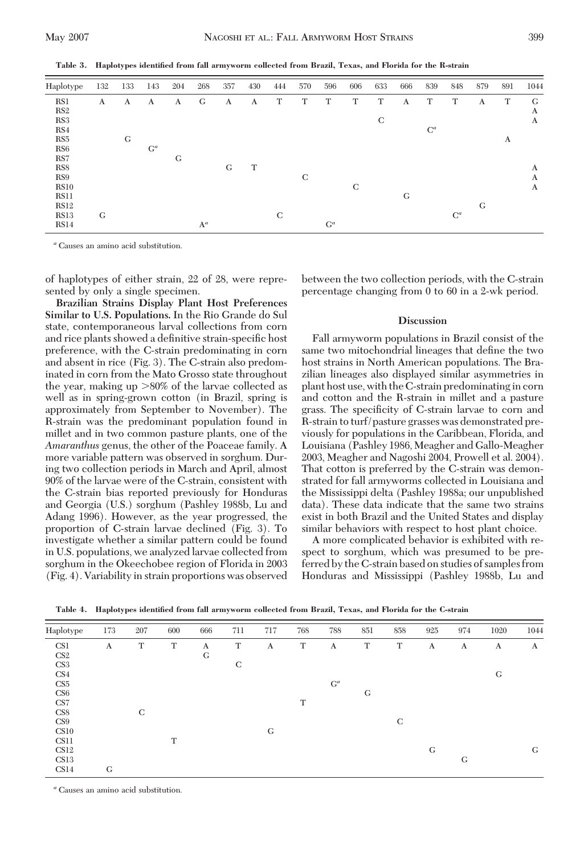**Table 3. Haplotypes identified from fall armyworm collected from Brazil, Texas, and Florida for the R-strain**

| Haplotype       | 132 | 133 | 143   | 204 | 268            | 357 | 430 | 444 | 570 | 596   | 606         | 633 | 666 | 839   | 848   | 879 | 891 | 1044 |
|-----------------|-----|-----|-------|-----|----------------|-----|-----|-----|-----|-------|-------------|-----|-----|-------|-------|-----|-----|------|
| RS1             | A   | A   | A     | A   | G              | A   | A   | T   | T   | T     | T           | T   | A   | T     | T     | A   | T   | G    |
| RS <sub>2</sub> |     |     |       |     |                |     |     |     |     |       |             |     |     |       |       |     |     | A    |
| RS3             |     |     |       |     |                |     |     |     |     |       |             | C   |     |       |       |     |     | A    |
| RS4             |     |     |       |     |                |     |     |     |     |       |             |     |     | $C^a$ |       |     |     |      |
| RS5             |     | G   |       |     |                |     |     |     |     |       |             |     |     |       |       |     | A   |      |
| RS <sub>6</sub> |     |     | $G^a$ |     |                |     |     |     |     |       |             |     |     |       |       |     |     |      |
| RS7             |     |     |       | G   |                |     |     |     |     |       |             |     |     |       |       |     |     |      |
| RS8             |     |     |       |     |                | G   | T   |     |     |       |             |     |     |       |       |     |     | A    |
| RS9             |     |     |       |     |                |     |     |     | C   |       |             |     |     |       |       |     |     | A    |
| <b>RS10</b>     |     |     |       |     |                |     |     |     |     |       | $\mathbf C$ |     |     |       |       |     |     | A    |
| <b>RS11</b>     |     |     |       |     |                |     |     |     |     |       |             |     | G   |       |       |     |     |      |
| <b>RS12</b>     |     |     |       |     |                |     |     |     |     |       |             |     |     |       |       | G   |     |      |
| <b>RS13</b>     | G   |     |       |     |                |     |     | C   |     |       |             |     |     |       | $C^a$ |     |     |      |
| <b>RS14</b>     |     |     |       |     | $\mathbf{A}^a$ |     |     |     |     | $G^a$ |             |     |     |       |       |     |     |      |

*<sup>a</sup>* Causes an amino acid substitution.

of haplotypes of either strain, 22 of 28, were represented by only a single specimen.

**Brazilian Strains Display Plant Host Preferences Similar to U.S. Populations.** In the Rio Grande do Sul state, contemporaneous larval collections from corn and rice plants showed a definitive strain-specific host preference, with the C-strain predominating in corn and absent in rice (Fig. 3). The C-strain also predominated in corn from the Mato Grosso state throughout the year, making up  $>80\%$  of the larvae collected as well as in spring-grown cotton (in Brazil, spring is approximately from September to November). The R-strain was the predominant population found in millet and in two common pasture plants, one of the *Amaranthus* genus, the other of the Poaceae family. A more variable pattern was observed in sorghum. During two collection periods in March and April, almost 90% of the larvae were of the C-strain, consistent with the C-strain bias reported previously for Honduras and Georgia (U.S.) sorghum (Pashley 1988b, Lu and Adang 1996). However, as the year progressed, the proportion of C-strain larvae declined (Fig. 3). To investigate whether a similar pattern could be found in U.S. populations, we analyzed larvae collected from sorghum in the Okeechobee region of Florida in 2003 (Fig. 4). Variability in strain proportions was observed

between the two collection periods, with the C-strain percentage changing from 0 to 60 in a 2-wk period.

# **Discussion**

Fall armyworm populations in Brazil consist of the same two mitochondrial lineages that define the two host strains in North American populations. The Brazilian lineages also displayed similar asymmetries in plant host use, with the C-strain predominatingin corn and cotton and the R-strain in millet and a pasture grass. The specificity of C-strain larvae to corn and R-strain to turf/pasture grasses was demonstrated previously for populations in the Caribbean, Florida, and Louisiana (Pashley 1986, Meagher and Gallo-Meagher 2003, Meagher and Nagoshi 2004, Prowell et al. 2004). That cotton is preferred by the C-strain was demonstrated for fall armyworms collected in Louisiana and the Mississippi delta (Pashley 1988a; our unpublished data). These data indicate that the same two strains exist in both Brazil and the United States and display similar behaviors with respect to host plant choice.

A more complicated behavior is exhibited with respect to sorghum, which was presumed to be preferred by the C-strain based on studies of samples from Honduras and Mississippi (Pashley 1988b, Lu and

| Haplotype        | 173 | 207 | 600 | 666 | 711 | 717 | 768 | 788   | 851 | 858 | 925 | 974 | 1020 | 1044 |
|------------------|-----|-----|-----|-----|-----|-----|-----|-------|-----|-----|-----|-----|------|------|
| CS <sub>1</sub>  | A   | T   | T   | A   | T   | A   | T   | A     | T   | T   | A   | A   | A    | A    |
| CS <sub>2</sub>  |     |     |     | G   |     |     |     |       |     |     |     |     |      |      |
| CS <sub>3</sub>  |     |     |     |     | C   |     |     |       |     |     |     |     |      |      |
| CS <sub>4</sub>  |     |     |     |     |     |     |     |       |     |     |     |     | G    |      |
| CS <sub>5</sub>  |     |     |     |     |     |     |     | $G^a$ |     |     |     |     |      |      |
| CS6              |     |     |     |     |     |     |     |       | G   |     |     |     |      |      |
| CS7              |     |     |     |     |     |     | T   |       |     |     |     |     |      |      |
| CS8              |     | C   |     |     |     |     |     |       |     |     |     |     |      |      |
| CS <sub>9</sub>  |     |     |     |     |     |     |     |       |     | C   |     |     |      |      |
| C <sub>S10</sub> |     |     |     |     |     | G   |     |       |     |     |     |     |      |      |
| CS11             |     |     | T   |     |     |     |     |       |     |     |     |     |      |      |
| CS12             |     |     |     |     |     |     |     |       |     |     | G   |     |      | G    |
| CS <sub>13</sub> |     |     |     |     |     |     |     |       |     |     |     | G   |      |      |
| CS <sub>14</sub> | G   |     |     |     |     |     |     |       |     |     |     |     |      |      |

**Table 4. Haplotypes identified from fall armyworm collected from Brazil, Texas, and Florida for the C-strain**

*<sup>a</sup>* Causes an amino acid substitution.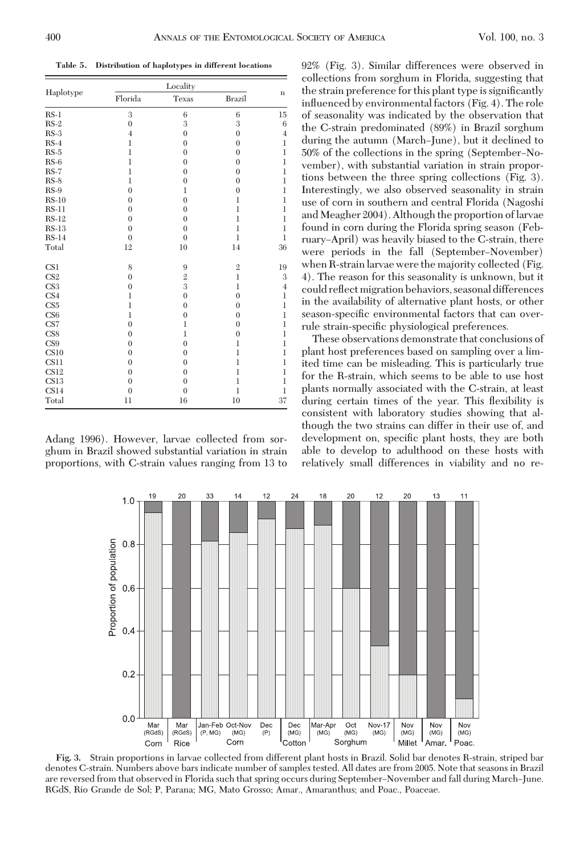**Table 5. Distribution of haplotypes in different locations**

|                 | Locality       |                |                |                |  |  |  |  |  |  |
|-----------------|----------------|----------------|----------------|----------------|--|--|--|--|--|--|
| Haplotype       | Florida        | Texas          | <b>Brazil</b>  | $\mathbf n$    |  |  |  |  |  |  |
| $RS-1$          | 3              | $\,6$          | 6              | 15             |  |  |  |  |  |  |
| $RS-2$          | $\overline{0}$ | 3              | 3              | 6              |  |  |  |  |  |  |
| $RS-3$          | $\overline{4}$ | $\overline{0}$ | $\overline{0}$ | $\overline{4}$ |  |  |  |  |  |  |
| $RS-4$          | $\mathbf{1}$   | $\overline{0}$ | $\overline{0}$ | $\mathbf{1}$   |  |  |  |  |  |  |
| $RS-5$          | $\mathbf{1}$   | $\overline{0}$ | $\overline{0}$ | $\mathbf{1}$   |  |  |  |  |  |  |
| $RS-6$          | $\mathbf{1}$   | $\overline{0}$ | $\overline{0}$ | $\mathbf{1}$   |  |  |  |  |  |  |
| $RS-7$          | $\mathbf{1}$   | $\mathbf{0}$   | $\overline{0}$ | $\mathbf{1}$   |  |  |  |  |  |  |
| $RS-8$          | $\mathbf{1}$   | $\mathbf{0}$   | $\overline{0}$ | $\mathbf{1}$   |  |  |  |  |  |  |
| $RS-9$          | $\overline{0}$ | $\mathbf{1}$   | $\overline{0}$ | $\mathbf{1}$   |  |  |  |  |  |  |
| $RS-10$         | $\theta$       | $\overline{0}$ | $\mathbf{1}$   | $\mathbf{1}$   |  |  |  |  |  |  |
| $RS-11$         | $\overline{0}$ | $\overline{0}$ | $\mathbf{1}$   | $\mathbf{1}$   |  |  |  |  |  |  |
| $RS-12$         | $\theta$       | $\overline{0}$ | $\mathbf{1}$   | $\mathbf{1}$   |  |  |  |  |  |  |
| $RS-13$         | $\overline{0}$ | $\mathbf{0}$   | $\mathbf{1}$   | $\mathbf{1}$   |  |  |  |  |  |  |
| $RS-14$         | $\overline{0}$ | $\overline{0}$ | $\mathbf{1}$   | $\mathbf{1}$   |  |  |  |  |  |  |
| Total           | 12             | 10             | 14             | 36             |  |  |  |  |  |  |
| CS <sub>1</sub> | 8              | 9              | $\mathbf{2}$   | 19             |  |  |  |  |  |  |
| CS <sub>2</sub> | $\overline{0}$ | $\overline{2}$ | $\mathbf{1}$   | 3              |  |  |  |  |  |  |
| CS3             | $\mathbf{0}$   | 3              | $\mathbf{1}$   | 4              |  |  |  |  |  |  |
| CS4             | $\mathbf{1}$   | $\overline{0}$ | $\overline{0}$ | $\mathbf{1}$   |  |  |  |  |  |  |
| CS <sub>5</sub> | $\mathbf{1}$   | $\overline{0}$ | $\overline{0}$ | $\mathbf{1}$   |  |  |  |  |  |  |
| CS6             | $\mathbf{1}$   | $\mathbf{0}$   | $\overline{0}$ | $\mathbf{1}$   |  |  |  |  |  |  |
| CS7             | $\overline{0}$ | $\mathbf{1}$   | $\overline{0}$ | $\mathbf{1}$   |  |  |  |  |  |  |
| CS8             | $\overline{0}$ | $\mathbf{1}$   | $\overline{0}$ | $\mathbf{1}$   |  |  |  |  |  |  |
| CS9             | $\theta$       | $\overline{0}$ | $\mathbf{1}$   | $\mathbf{1}$   |  |  |  |  |  |  |
| CS10            | $\theta$       | $\overline{0}$ | $\mathbf{1}$   | $\mathbf{1}$   |  |  |  |  |  |  |
| CS11            | $\overline{0}$ | $\overline{0}$ | $\mathbf{1}$   | $\mathbf{1}$   |  |  |  |  |  |  |
| CS12            | $\overline{0}$ | $\overline{0}$ | $\mathbf{1}$   | $\mathbf{1}$   |  |  |  |  |  |  |
| CS13            | $\theta$       | $\overline{0}$ | $\mathbf{1}$   | $\mathbf{1}$   |  |  |  |  |  |  |
| CS14            | $\overline{0}$ | $\overline{0}$ | $\mathbf{1}$   | $\mathbf{1}$   |  |  |  |  |  |  |
| Total           | 11             | 16             | 10             | 37             |  |  |  |  |  |  |

Adang 1996). However, larvae collected from sorghum in Brazil showed substantial variation in strain proportions, with C-strain values ranging from 13 to 92% (Fig. 3). Similar differences were observed in collections from sorghum in Florida, suggesting that the strain preference for this plant type is significantly inßuenced by environmental factors (Fig. 4). The role of seasonality was indicated by the observation that the C-strain predominated (89%) in Brazil sorghum during the autumn (March-June), but it declined to 50% of the collections in the spring (September–November), with substantial variation in strain proportions between the three spring collections (Fig. 3). Interestingly, we also observed seasonality in strain use of corn in southern and central Florida (Nagoshi and Meagher 2004). Although the proportion of larvae found in corn during the Florida spring season (February–April) was heavily biased to the C-strain, there were periods in the fall (September–November) when R-strain larvae were the majority collected (Fig. 4). The reason for this seasonality is unknown, but it could reßect migration behaviors, seasonal differences in the availability of alternative plant hosts, or other season-specific environmental factors that can overrule strain-specific physiological preferences.

These observations demonstrate that conclusions of plant host preferences based on sampling over a limited time can be misleading. This is particularly true for the R-strain, which seems to be able to use host plants normally associated with the C-strain, at least during certain times of the year. This flexibility is consistent with laboratory studies showing that although the two strains can differ in their use of, and development on, specific plant hosts, they are both able to develop to adulthood on these hosts with relatively small differences in viability and no re-



**Fig. 3.** Strain proportions in larvae collected from different plant hosts in Brazil. Solid bar denotes R-strain, striped bar denotes C-strain. Numbers above bars indicate number of samples tested. All dates are from 2005. Note that seasons in Brazil are reversed from that observed in Florida such that spring occurs during September–November and fall during March–June. RGdS, Rio Grande de Sol; P, Parana; MG, Mato Grosso; Amar., Amaranthus; and Poac., Poaceae.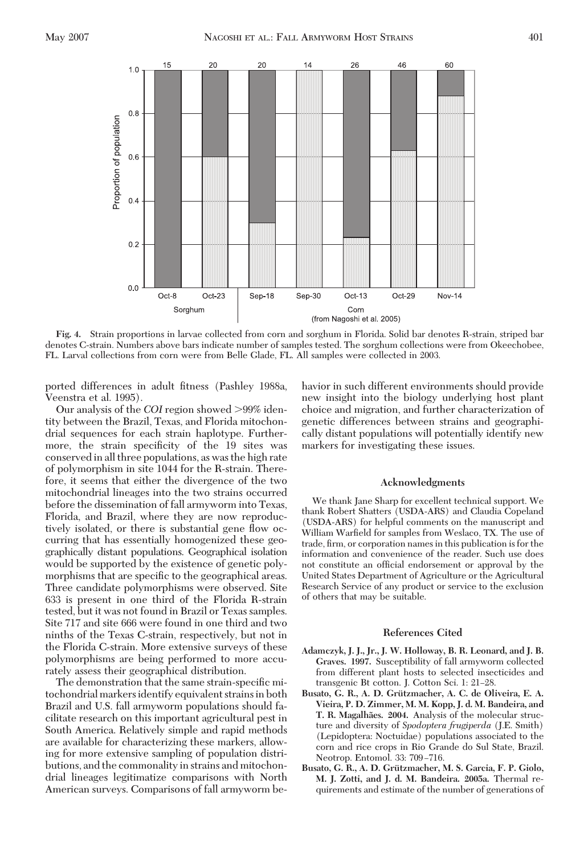

**Fig. 4.** Strain proportions in larvae collected from corn and sorghum in Florida. Solid bar denotes R-strain, striped bar denotes C-strain. Numbers above bars indicate number of samples tested. The sorghum collections were from Okeechobee, FL. Larval collections from corn were from Belle Glade, FL. All samples were collected in 2003.

ported differences in adult fitness (Pashley 1988a, Veenstra et al. 1995).

Our analysis of the *COI* region showed >99% identity between the Brazil, Texas, and Florida mitochondrial sequences for each strain haplotype. Furthermore, the strain specificity of the 19 sites was conserved in all three populations, as was the high rate of polymorphism in site 1044 for the R-strain. Therefore, it seems that either the divergence of the two mitochondrial lineages into the two strains occurred before the dissemination of fall armyworm into Texas, Florida, and Brazil, where they are now reproductively isolated, or there is substantial gene ßow occurring that has essentially homogenized these geographically distant populations. Geographical isolation would be supported by the existence of genetic polymorphisms that are specific to the geographical areas. Three candidate polymorphisms were observed. Site 633 is present in one third of the Florida R-strain tested, but it was not found in Brazil or Texas samples. Site 717 and site 666 were found in one third and two ninths of the Texas C-strain, respectively, but not in the Florida C-strain. More extensive surveys of these polymorphisms are being performed to more accurately assess their geographical distribution.

The demonstration that the same strain-specific mitochondrial markersidentify equivalent strainsin both Brazil and U.S. fall armyworm populations should facilitate research on this important agricultural pest in South America. Relatively simple and rapid methods are available for characterizing these markers, allowing for more extensive sampling of population distributions, and the commonality in strains and mitochondrial lineages legitimatize comparisons with North American surveys. Comparisons of fall armyworm behavior in such different environments should provide new insight into the biology underlying host plant choice and migration, and further characterization of genetic differences between strains and geographically distant populations will potentially identify new markers for investigating these issues.

### **Acknowledgments**

We thank Jane Sharp for excellent technical support. We thank Robert Shatters (USDA-ARS) and Claudia Copeland (USDA-ARS) for helpful comments on the manuscript and William Warfield for samples from Weslaco, TX. The use of trade, firm, or corporation names in this publication is for the information and convenience of the reader. Such use does not constitute an official endorsement or approval by the United States Department of Agriculture or the Agricultural Research Service of any product or service to the exclusion of others that may be suitable.

#### **References Cited**

- **Adamczyk, J. J., Jr., J. W. Holloway, B. R. Leonard, and J. B. Graves. 1997.** Susceptibility of fall armyworm collected from different plant hosts to selected insecticides and transgenic Bt cotton. J. Cotton Sci. 1: 21-28.
- **Busato, G. R., A. D. Gru¨tzmacher, A. C. de Oliveira, E. A. Vieira, P. D. Zimmer, M. M. Kopp, J. d. M. Bandeira, and T. R. Magalha˜es. 2004.** Analysis of the molecular structure and diversity of *Spodoptera frugiperda* (J.E. Smith) (Lepidoptera: Noctuidae) populations associated to the corn and rice crops in Rio Grande do Sul State, Brazil. Neotrop. Entomol. 33: 709-716.
- **Busato, G. R., A. D. Gru¨tzmacher, M. S. Garcia, F. P. Giolo, M. J. Zotti, and J. d. M. Bandeira. 2005a.** Thermal requirements and estimate of the number of generations of